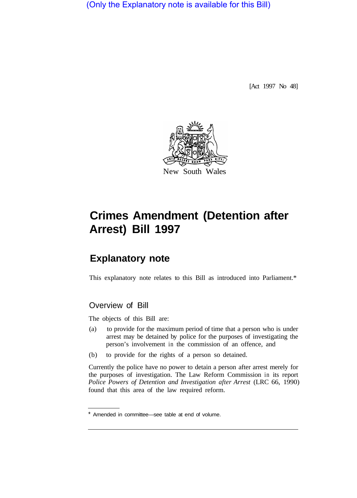(Only the Explanatory note is available for this Bill)

[Act 1997 No 48]



# **Crimes Amendment (Detention after Arrest) Bill 1997**

# **Explanatory note**

This explanatory note relates to this Bill as introduced into Parliament.\*

# Overview of Bill

The objects of this Bill are:

- (a) to provide for the maximum period of time that a person who is under arrest may be detained by police for the purposes of investigating the person's involvement in the commission of an offence, and
- (b) to provide for the rights of a person so detained.

Currently the police have no power to detain a person after arrest merely for the purposes of investigation. The Law Reform Commission in its report *Police Powers of Detention and Investigation after Arrest* (LRC 66, 1990) found that this area of the law required reform.

<sup>\*</sup> Amended in committee—see table at end of volume.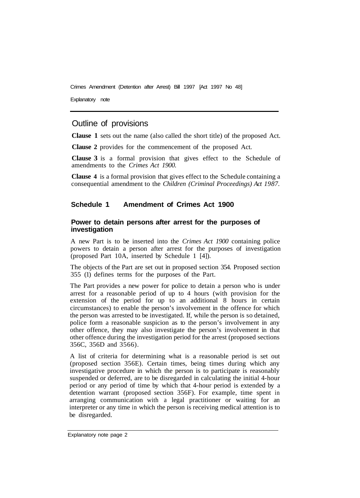Explanatory note

## Outline of provisions

**Clause 1** sets out the name (also called the short title) of the proposed Act.

**Clause 2** provides for the commencement of the proposed Act.

**Clause 3** is a formal provision that gives effect to the Schedule of amendments to the *Crimes Act 1900.* 

**Clause 4** is a formal provision that gives effect to the Schedule containing a consequential amendment to the *Children (Criminal Proceedings) Act 1987.* 

#### **Schedule 1 Amendment of Crimes Act 1900**

#### **Power to detain persons after arrest for the purposes of investigation**

A new Part is to be inserted into the *Crimes Act 1900* containing police powers to detain a person after arrest for the purposes of investigation (proposed Part 10A, inserted by Schedule 1 [4]).

The objects of the Part are set out in proposed section 354. Proposed section 355 (1) defines terms for the purposes of the Part.

The Part provides a new power for police to detain a person who is under arrest for a reasonable period of up to 4 hours (with provision for the extension of the period for up to an additional 8 hours in certain circumstances) to enable the person's involvement in the offence for which the person was arrested to be investigated. If, while the person is so detained, police form a reasonable suspicion as to the person's involvement in any other offence, they may also investigate the person's involvement in that other offence during the investigation period for the arrest (proposed sections 356C, 356D and 3566).

A list of criteria for determining what is a reasonable period is set out (proposed section 356E). Certain times, being times during which any investigative procedure in which the person is to participate is reasonably suspended or deferred, are to be disregarded in calculating the initial 4-hour period or any period of time by which that 4-hour period is extended by a detention warrant (proposed section 356F). For example, time spent in arranging communication with a legal practitioner or waiting for an interpreter or any time in which the person is receiving medical attention is to be disregarded.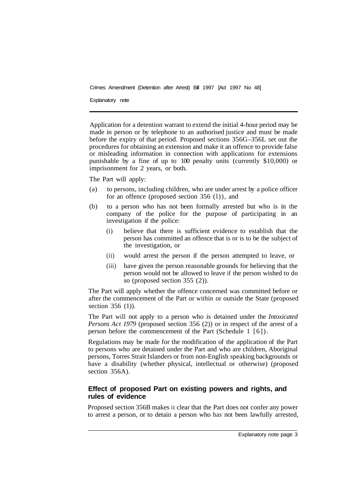Explanatory note

Application for a detention warrant to extend the initial 4-hour period may be made in person or by telephone to an authorised justice and must be made before the expiry of that period. Proposed sections 356G–356L set out the procedures for obtaining an extension and make it an offence to provide false or misleading information in connection with applications for extensions punishable by a fine of up to 100 penalty units (currently \$10,000) or imprisonment for 2 years, or both.

The Part will apply:

- (a) to persons, including children, who are under arrest by a police officer for an offence (proposed section 356 (l)), and
- (b) to a person who has not been formally arrested but who is in the company of the police for the purpose of participating in an investigation if the police:
	- (i) believe that there is sufficient evidence to establish that the person has committed an offence that is or is to be the subject of the investigation, or
	- (ii) would arrest the person if the person attempted to leave, or
	- (iii) have given the person reasonable grounds for believing that the person would not be allowed to leave if the person wished to do so (proposed section 355 (2)).

The Part will apply whether the offence concerned was committed before or after the commencement of the Part or within or outside the State (proposed section 356 (1)).

The Part will not apply to a person who is detained under the *Intoxicated Persons Act 1979* (proposed section 356 (2)) or in respect of the arrest of a person before the commencement of the Part (Schedule 1 [6]).

Regulations may be made for the modification of the application of the Part to persons who are detained under the Part and who are children, Aboriginal persons, Torres Strait Islanders or from non-English speaking backgrounds or have a disability (whether physical, intellectual or otherwise) (proposed section 356A).

#### **Effect of proposed Part on existing powers and rights, and rules of evidence**

Proposed section 356B makes it clear that the Part does not confer any power to arrest a person, or to detain a person who has not been lawfully arrested,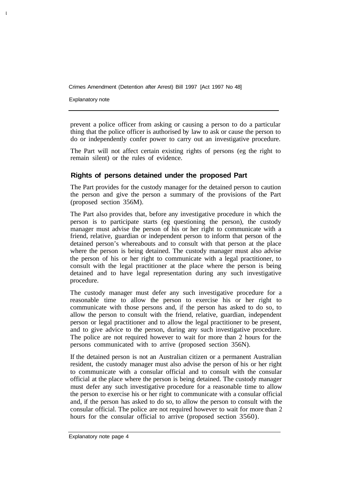Explanatory note

prevent a police officer from asking or causing a person to do a particular thing that the police officer is authorised by law to ask or cause the person to do or independently confer power to carry out an investigative procedure.

The Part will not affect certain existing rights of persons (eg the right to remain silent) or the rules of evidence.

#### **Rights of persons detained under the proposed Part**

The Part provides for the custody manager for the detained person to caution the person and give the person a summary of the provisions of the Part (proposed section 356M).

The Part also provides that, before any investigative procedure in which the person is to participate starts (eg questioning the person), the custody manager must advise the person of his or her right to communicate with a friend, relative, guardian or independent person to inform that person of the detained person's whereabouts and to consult with that person at the place where the person is being detained. The custody manager must also advise the person of his or her right to communicate with a legal practitioner, to consult with the legal practitioner at the place where the person is being detained and to have legal representation during any such investigative procedure.

The custody manager must defer any such investigative procedure for a reasonable time to allow the person to exercise his or her right to communicate with those persons and, if the person has asked to do so, to allow the person to consult with the friend, relative, guardian, independent person or legal practitioner and to allow the legal practitioner to be present, and to give advice to the person, during any such investigative procedure. The police are not required however to wait for more than 2 hours for the persons communicated with to arrive (proposed section 356N).

If the detained person is not an Australian citizen or a permanent Australian resident, the custody manager must also advise the person of his or her right to communicate with a consular official and to consult with the consular official at the place where the person is being detained. The custody manager must defer any such investigative procedure for a reasonable time to allow the person to exercise his or her right to communicate with a consular official and, if the person has asked to do so, to allow the person to consult with the consular official. The police are not required however to wait for more than 2 hours for the consular official to arrive (proposed section 3560).